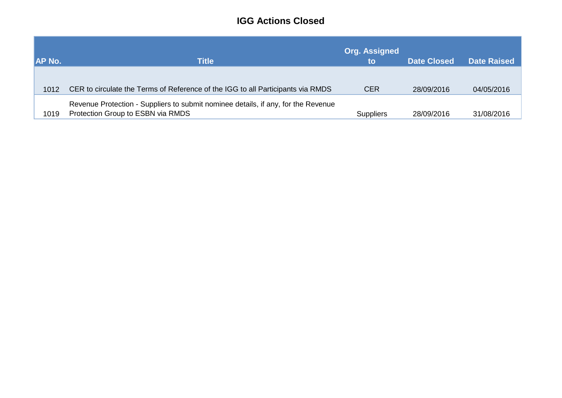## **IGG Actions Closed**

| <b>AP No.</b> | <b>Title</b>                                                                                                           | <b>Org. Assigned</b><br>to | <b>Date Closed</b> | <b>Date Raised</b> |
|---------------|------------------------------------------------------------------------------------------------------------------------|----------------------------|--------------------|--------------------|
| 1012          | CER to circulate the Terms of Reference of the IGG to all Participants via RMDS                                        | <b>CER</b>                 | 28/09/2016         | 04/05/2016         |
| 1019          | Revenue Protection - Suppliers to submit nominee details, if any, for the Revenue<br>Protection Group to ESBN via RMDS | <b>Suppliers</b>           | 28/09/2016         | 31/08/2016         |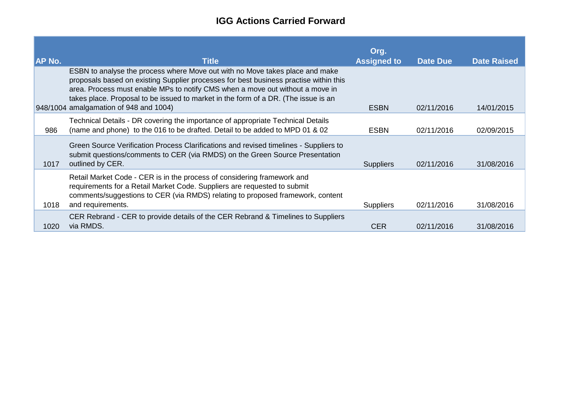## **IGG Actions Carried Forward**

| <b>AP No.</b> | <b>Title</b>                                                                                                                                                                                                                                                                                                                                                                           | Org.<br><b>Assigned to</b> | <b>Date Due</b> | <b>Date Raised</b> |
|---------------|----------------------------------------------------------------------------------------------------------------------------------------------------------------------------------------------------------------------------------------------------------------------------------------------------------------------------------------------------------------------------------------|----------------------------|-----------------|--------------------|
|               | ESBN to analyse the process where Move out with no Move takes place and make<br>proposals based on existing Supplier processes for best business practise within this<br>area. Process must enable MPs to notify CMS when a move out without a move in<br>takes place. Proposal to be issued to market in the form of a DR. (The issue is an<br>948/1004 amalgamation of 948 and 1004) | <b>ESBN</b>                | 02/11/2016      | 14/01/2015         |
| 986           | Technical Details - DR covering the importance of appropriate Technical Details<br>(name and phone) to the 016 to be drafted. Detail to be added to MPD 01 & 02                                                                                                                                                                                                                        | <b>ESBN</b>                | 02/11/2016      | 02/09/2015         |
| 1017          | Green Source Verification Process Clarifications and revised timelines - Suppliers to<br>submit questions/comments to CER (via RMDS) on the Green Source Presentation<br>outlined by CER.                                                                                                                                                                                              | <b>Suppliers</b>           | 02/11/2016      | 31/08/2016         |
| 1018          | Retail Market Code - CER is in the process of considering framework and<br>requirements for a Retail Market Code. Suppliers are requested to submit<br>comments/suggestions to CER (via RMDS) relating to proposed framework, content<br>and requirements.                                                                                                                             | <b>Suppliers</b>           | 02/11/2016      | 31/08/2016         |
| 1020          | CER Rebrand - CER to provide details of the CER Rebrand & Timelines to Suppliers<br>via RMDS.                                                                                                                                                                                                                                                                                          | <b>CER</b>                 | 02/11/2016      | 31/08/2016         |